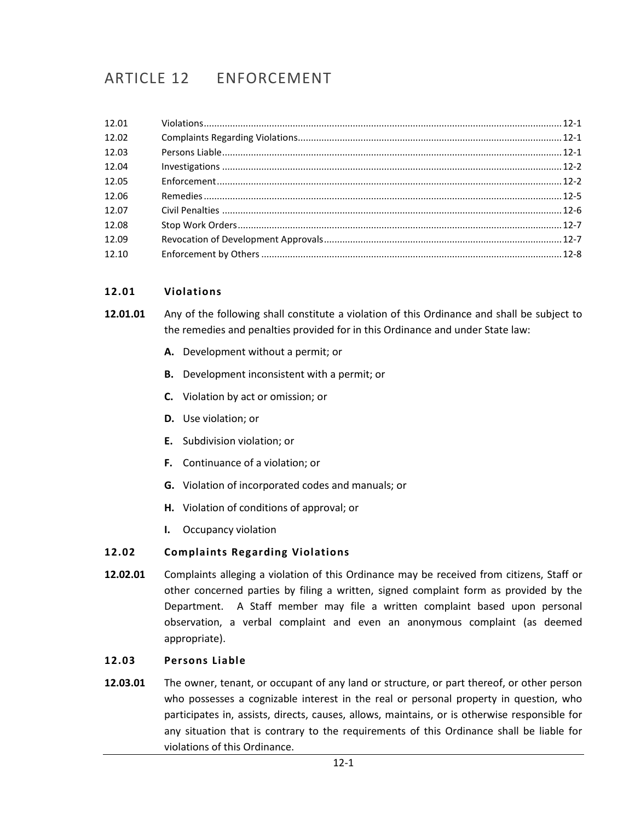# ARTICLE 12 ENFORCEMENT

# <span id="page-0-0"></span>**12.01 Violations**

- **12.01.01** Any of the following shall constitute a violation of this Ordinance and shall be subject to the remedies and penalties provided for in this Ordinance and under State law:
	- **A.** Development without a permit; or
	- **B.** Development inconsistent with a permit; or
	- **C.** Violation by act or omission; or
	- **D.** Use violation; or
	- **E.** Subdivision violation; or
	- **F.** Continuance of a violation; or
	- **G.** Violation of incorporated codes and manuals; or
	- **H.** Violation of conditions of approval; or
	- **I.** Occupancy violation

#### <span id="page-0-1"></span>**12.02 Complaints Regarding Violations**

**12.02.01** Complaints alleging a violation of this Ordinance may be received from citizens, Staff or other concerned parties by filing a written, signed complaint form as provided by the Department. A Staff member may file a written complaint based upon personal observation, a verbal complaint and even an anonymous complaint (as deemed appropriate).

#### <span id="page-0-2"></span>**12.03 Persons Liable**

**12.03.01** The owner, tenant, or occupant of any land or structure, or part thereof, or other person who possesses a cognizable interest in the real or personal property in question, who participates in, assists, directs, causes, allows, maintains, or is otherwise responsible for any situation that is contrary to the requirements of this Ordinance shall be liable for violations of this Ordinance.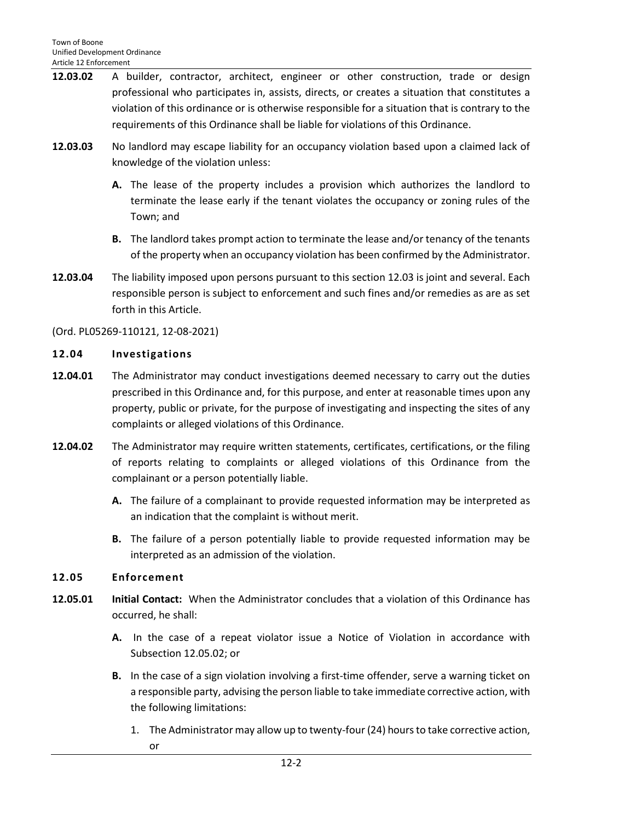- **12.03.02** A builder, contractor, architect, engineer or other construction, trade or design professional who participates in, assists, directs, or creates a situation that constitutes a violation of this ordinance or is otherwise responsible for a situation that is contrary to the requirements of this Ordinance shall be liable for violations of this Ordinance.
- **12.03.03** No landlord may escape liability for an occupancy violation based upon a claimed lack of knowledge of the violation unless:
	- **A.** The lease of the property includes a provision which authorizes the landlord to terminate the lease early if the tenant violates the occupancy or zoning rules of the Town; and
	- **B.** The landlord takes prompt action to terminate the lease and/or tenancy of the tenants of the property when an occupancy violation has been confirmed by the Administrator.
- **12.03.04** The liability imposed upon persons pursuant to this section 12.03 is joint and several. Each responsible person is subject to enforcement and such fines and/or remedies as are as set forth in this Article.

(Ord. PL05269-110121, 12-08-2021)

## <span id="page-1-0"></span>**12.04 Investigations**

- **12.04.01** The Administrator may conduct investigations deemed necessary to carry out the duties prescribed in this Ordinance and, for this purpose, and enter at reasonable times upon any property, public or private, for the purpose of investigating and inspecting the sites of any complaints or alleged violations of this Ordinance.
- **12.04.02** The Administrator may require written statements, certificates, certifications, or the filing of reports relating to complaints or alleged violations of this Ordinance from the complainant or a person potentially liable.
	- **A.** The failure of a complainant to provide requested information may be interpreted as an indication that the complaint is without merit.
	- **B.** The failure of a person potentially liable to provide requested information may be interpreted as an admission of the violation.

## <span id="page-1-1"></span>**12.05 Enforcement**

- **12.05.01 Initial Contact:** When the Administrator concludes that a violation of this Ordinance has occurred, he shall:
	- **A.** In the case of a repeat violator issue a Notice of Violation in accordance with Subsection 12.05.02; or
	- **B.** In the case of a sign violation involving a first-time offender, serve a warning ticket on a responsible party, advising the person liable to take immediate corrective action, with the following limitations:
		- 1. The Administrator may allow up to twenty-four (24) hours to take corrective action, or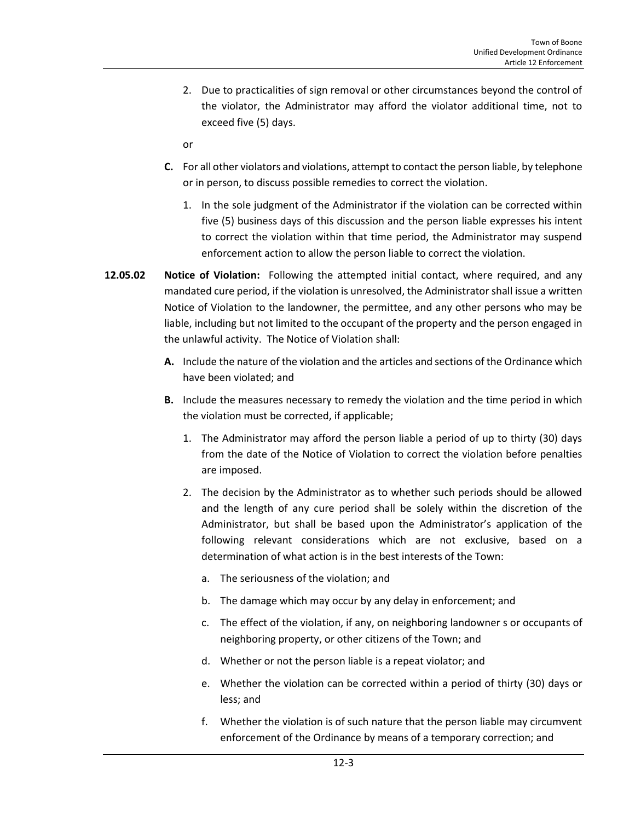- 2. Due to practicalities of sign removal or other circumstances beyond the control of the violator, the Administrator may afford the violator additional time, not to exceed five (5) days.
- or
- **C.** For all other violators and violations, attempt to contact the person liable, by telephone or in person, to discuss possible remedies to correct the violation.
	- 1. In the sole judgment of the Administrator if the violation can be corrected within five (5) business days of this discussion and the person liable expresses his intent to correct the violation within that time period, the Administrator may suspend enforcement action to allow the person liable to correct the violation.
- **12.05.02 Notice of Violation:** Following the attempted initial contact, where required, and any mandated cure period, if the violation is unresolved, the Administrator shall issue a written Notice of Violation to the landowner, the permittee, and any other persons who may be liable, including but not limited to the occupant of the property and the person engaged in the unlawful activity. The Notice of Violation shall:
	- **A.** Include the nature of the violation and the articles and sections of the Ordinance which have been violated; and
	- **B.** Include the measures necessary to remedy the violation and the time period in which the violation must be corrected, if applicable;
		- 1. The Administrator may afford the person liable a period of up to thirty (30) days from the date of the Notice of Violation to correct the violation before penalties are imposed.
		- 2. The decision by the Administrator as to whether such periods should be allowed and the length of any cure period shall be solely within the discretion of the Administrator, but shall be based upon the Administrator's application of the following relevant considerations which are not exclusive, based on a determination of what action is in the best interests of the Town:
			- a. The seriousness of the violation; and
			- b. The damage which may occur by any delay in enforcement; and
			- c. The effect of the violation, if any, on neighboring landowner s or occupants of neighboring property, or other citizens of the Town; and
			- d. Whether or not the person liable is a repeat violator; and
			- e. Whether the violation can be corrected within a period of thirty (30) days or less; and
			- f. Whether the violation is of such nature that the person liable may circumvent enforcement of the Ordinance by means of a temporary correction; and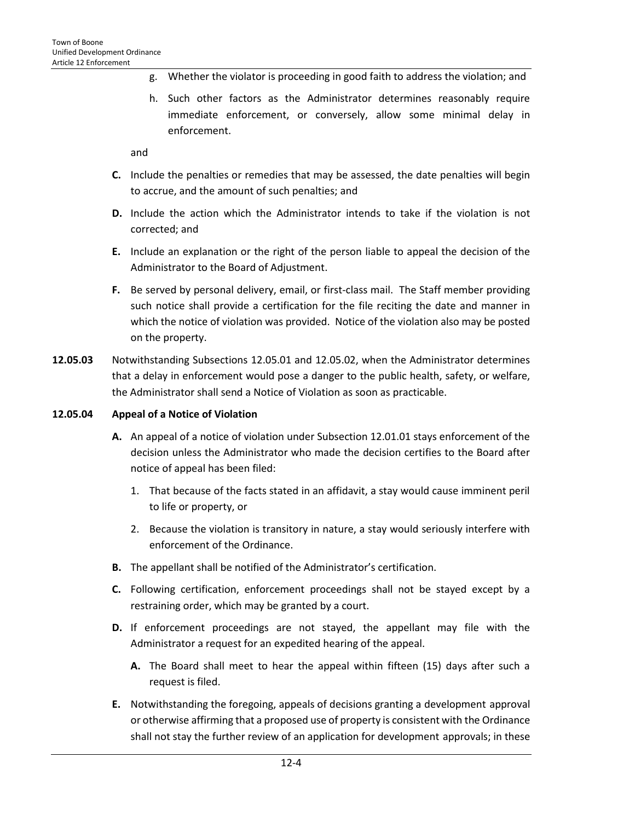- g. Whether the violator is proceeding in good faith to address the violation; and
- h. Such other factors as the Administrator determines reasonably require immediate enforcement, or conversely, allow some minimal delay in enforcement.

and

- **C.** Include the penalties or remedies that may be assessed, the date penalties will begin to accrue, and the amount of such penalties; and
- **D.** Include the action which the Administrator intends to take if the violation is not corrected; and
- **E.** Include an explanation or the right of the person liable to appeal the decision of the Administrator to the Board of Adjustment.
- **F.** Be served by personal delivery, email, or first-class mail. The Staff member providing such notice shall provide a certification for the file reciting the date and manner in which the notice of violation was provided. Notice of the violation also may be posted on the property.
- **12.05.03** Notwithstanding Subsections 12.05.01 and 12.05.02, when the Administrator determines that a delay in enforcement would pose a danger to the public health, safety, or welfare, the Administrator shall send a Notice of Violation as soon as practicable.

## **12.05.04 Appeal of a Notice of Violation**

- **A.** An appeal of a notice of violation under Subsection 12.01.01 stays enforcement of the decision unless the Administrator who made the decision certifies to the Board after notice of appeal has been filed:
	- 1. That because of the facts stated in an affidavit, a stay would cause imminent peril to life or property, or
	- 2. Because the violation is transitory in nature, a stay would seriously interfere with enforcement of the Ordinance.
- **B.** The appellant shall be notified of the Administrator's certification.
- **C.** Following certification, enforcement proceedings shall not be stayed except by a restraining order, which may be granted by a court.
- **D.** If enforcement proceedings are not stayed, the appellant may file with the Administrator a request for an expedited hearing of the appeal.
	- **A.** The Board shall meet to hear the appeal within fifteen (15) days after such a request is filed.
- **E.** Notwithstanding the foregoing, appeals of decisions granting a development approval or otherwise affirming that a proposed use of property is consistent with the Ordinance shall not stay the further review of an application for development approvals; in these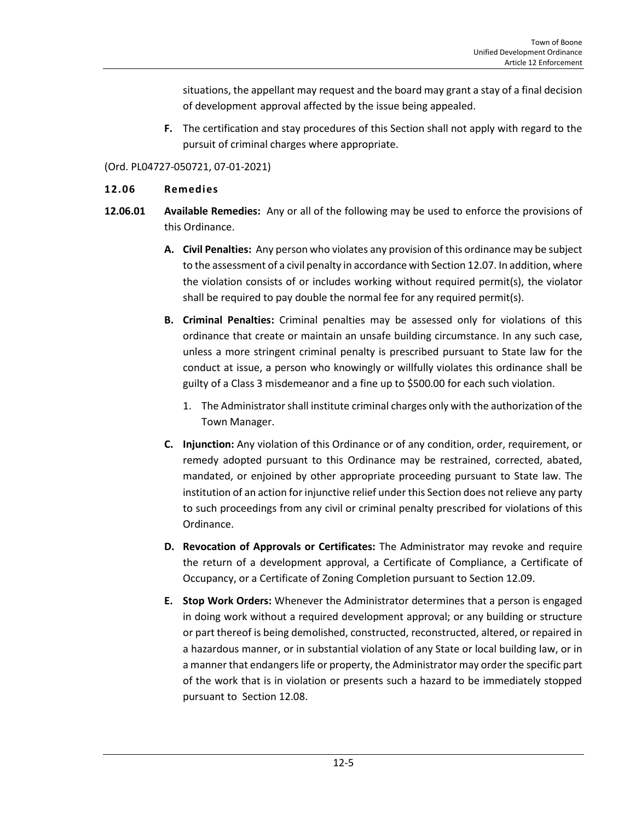situations, the appellant may request and the board may grant a stay of a final decision of development approval affected by the issue being appealed.

**F.** The certification and stay procedures of this Section shall not apply with regard to the pursuit of criminal charges where appropriate.

#### (Ord. PL04727-050721, 07-01-2021)

#### <span id="page-4-0"></span>**12.06 Remedies**

- **12.06.01 Available Remedies:** Any or all of the following may be used to enforce the provisions of this Ordinance.
	- **A. Civil Penalties:** Any person who violates any provision of this ordinance may be subject to the assessment of a civil penalty in accordance with Section 12.07. In addition, where the violation consists of or includes working without required permit(s), the violator shall be required to pay double the normal fee for any required permit(s).
	- **B. Criminal Penalties:** Criminal penalties may be assessed only for violations of this ordinance that create or maintain an unsafe building circumstance. In any such case, unless a more stringent criminal penalty is prescribed pursuant to State law for the conduct at issue, a person who knowingly or willfully violates this ordinance shall be guilty of a Class 3 misdemeanor and a fine up to \$500.00 for each such violation.
		- 1. The Administrator shall institute criminal charges only with the authorization of the Town Manager.
	- **C. Injunction:** Any violation of this Ordinance or of any condition, order, requirement, or remedy adopted pursuant to this Ordinance may be restrained, corrected, abated, mandated, or enjoined by other appropriate proceeding pursuant to State law. The institution of an action for injunctive relief under this Section does not relieve any party to such proceedings from any civil or criminal penalty prescribed for violations of this Ordinance.
	- **D. Revocation of Approvals or Certificates:** The Administrator may revoke and require the return of a development approval, a Certificate of Compliance, a Certificate of Occupancy, or a Certificate of Zoning Completion pursuant to Section 12.09.
	- **E. Stop Work Orders:** Whenever the Administrator determines that a person is engaged in doing work without a required development approval; or any building or structure or part thereof is being demolished, constructed, reconstructed, altered, or repaired in a hazardous manner, or in substantial violation of any State or local building law, or in a manner that endangers life or property, the Administrator may order the specific part of the work that is in violation or presents such a hazard to be immediately stopped pursuant to Section 12.08.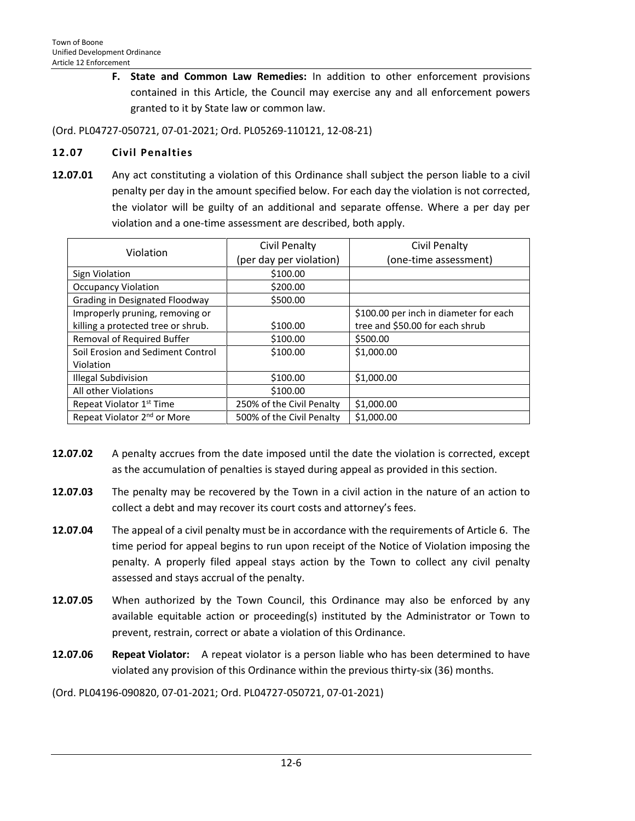**F. State and Common Law Remedies:** In addition to other enforcement provisions contained in this Article, the Council may exercise any and all enforcement powers granted to it by State law or common law.

(Ord. PL04727-050721, 07-01-2021; Ord. PL05269-110121, 12-08-21)

## <span id="page-5-0"></span>**12.07 Civil Penalties**

**12.07.01** Any act constituting a violation of this Ordinance shall subject the person liable to a civil penalty per day in the amount specified below. For each day the violation is not corrected, the violator will be guilty of an additional and separate offense. Where a per day per violation and a one-time assessment are described, both apply.

| Violation                               | <b>Civil Penalty</b>      | <b>Civil Penalty</b>                   |
|-----------------------------------------|---------------------------|----------------------------------------|
|                                         | (per day per violation)   | (one-time assessment)                  |
| Sign Violation                          | \$100.00                  |                                        |
| <b>Occupancy Violation</b>              | \$200.00                  |                                        |
| Grading in Designated Floodway          | \$500.00                  |                                        |
| Improperly pruning, removing or         |                           | \$100.00 per inch in diameter for each |
| killing a protected tree or shrub.      | \$100.00                  | tree and \$50.00 for each shrub        |
| Removal of Required Buffer              | \$100.00                  | \$500.00                               |
| Soil Erosion and Sediment Control       | \$100.00                  | \$1,000.00                             |
| Violation                               |                           |                                        |
| <b>Illegal Subdivision</b>              | \$100.00                  | \$1,000.00                             |
| All other Violations                    | \$100.00                  |                                        |
| Repeat Violator 1 <sup>st</sup> Time    | 250% of the Civil Penalty | \$1,000.00                             |
| Repeat Violator 2 <sup>nd</sup> or More | 500% of the Civil Penalty | \$1,000.00                             |

- **12.07.02** A penalty accrues from the date imposed until the date the violation is corrected, except as the accumulation of penalties is stayed during appeal as provided in this section.
- **12.07.03** The penalty may be recovered by the Town in a civil action in the nature of an action to collect a debt and may recover its court costs and attorney's fees.
- **12.07.04** The appeal of a civil penalty must be in accordance with the requirements of Article 6. The time period for appeal begins to run upon receipt of the Notice of Violation imposing the penalty. A properly filed appeal stays action by the Town to collect any civil penalty assessed and stays accrual of the penalty.
- **12.07.05** When authorized by the Town Council, this Ordinance may also be enforced by any available equitable action or proceeding(s) instituted by the Administrator or Town to prevent, restrain, correct or abate a violation of this Ordinance.
- **12.07.06 Repeat Violator:** A repeat violator is a person liable who has been determined to have violated any provision of this Ordinance within the previous thirty-six (36) months.

(Ord. PL04196-090820, 07-01-2021; Ord. PL04727-050721, 07-01-2021)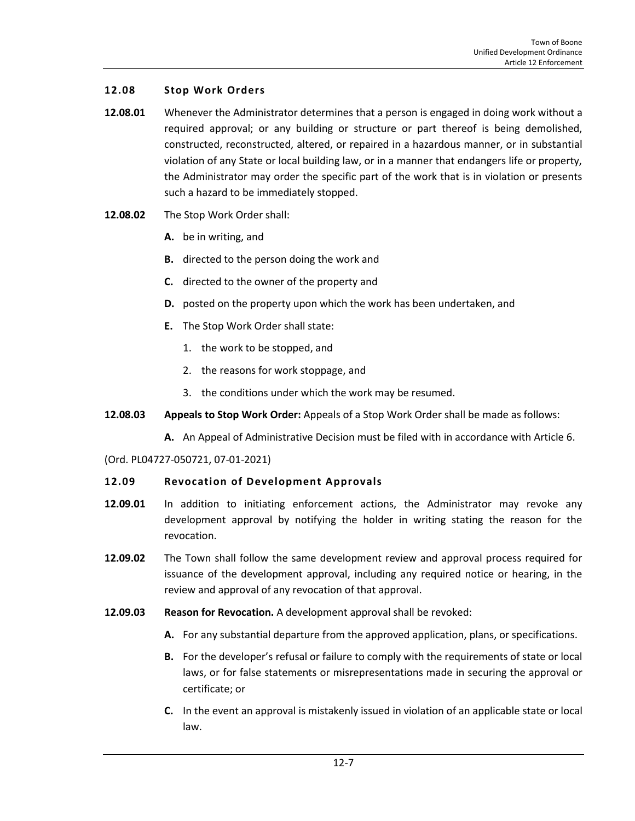## <span id="page-6-0"></span>**12.08 Stop Work Orders**

- **12.08.01** Whenever the Administrator determines that a person is engaged in doing work without a required approval; or any building or structure or part thereof is being demolished, constructed, reconstructed, altered, or repaired in a hazardous manner, or in substantial violation of any State or local building law, or in a manner that endangers life or property, the Administrator may order the specific part of the work that is in violation or presents such a hazard to be immediately stopped.
- **12.08.02** The Stop Work Order shall:
	- **A.** be in writing, and
	- **B.** directed to the person doing the work and
	- **C.** directed to the owner of the property and
	- **D.** posted on the property upon which the work has been undertaken, and
	- **E.** The Stop Work Order shall state:
		- 1. the work to be stopped, and
		- 2. the reasons for work stoppage, and
		- 3. the conditions under which the work may be resumed.
- **12.08.03 Appeals to Stop Work Order:** Appeals of a Stop Work Order shall be made as follows:
	- **A.** An Appeal of Administrative Decision must be filed with in accordance with Article 6.

(Ord. PL04727-050721, 07-01-2021)

#### <span id="page-6-1"></span>**12.09 Revocation of Development Approvals**

- **12.09.01** In addition to initiating enforcement actions, the Administrator may revoke any development approval by notifying the holder in writing stating the reason for the revocation.
- **12.09.02** The Town shall follow the same development review and approval process required for issuance of the development approval, including any required notice or hearing, in the review and approval of any revocation of that approval.
- **12.09.03 Reason for Revocation.** A development approval shall be revoked:
	- **A.** For any substantial departure from the approved application, plans, or specifications.
	- **B.** For the developer's refusal or failure to comply with the requirements of state or local laws, or for false statements or misrepresentations made in securing the approval or certificate; or
	- **C.** In the event an approval is mistakenly issued in violation of an applicable state or local law.